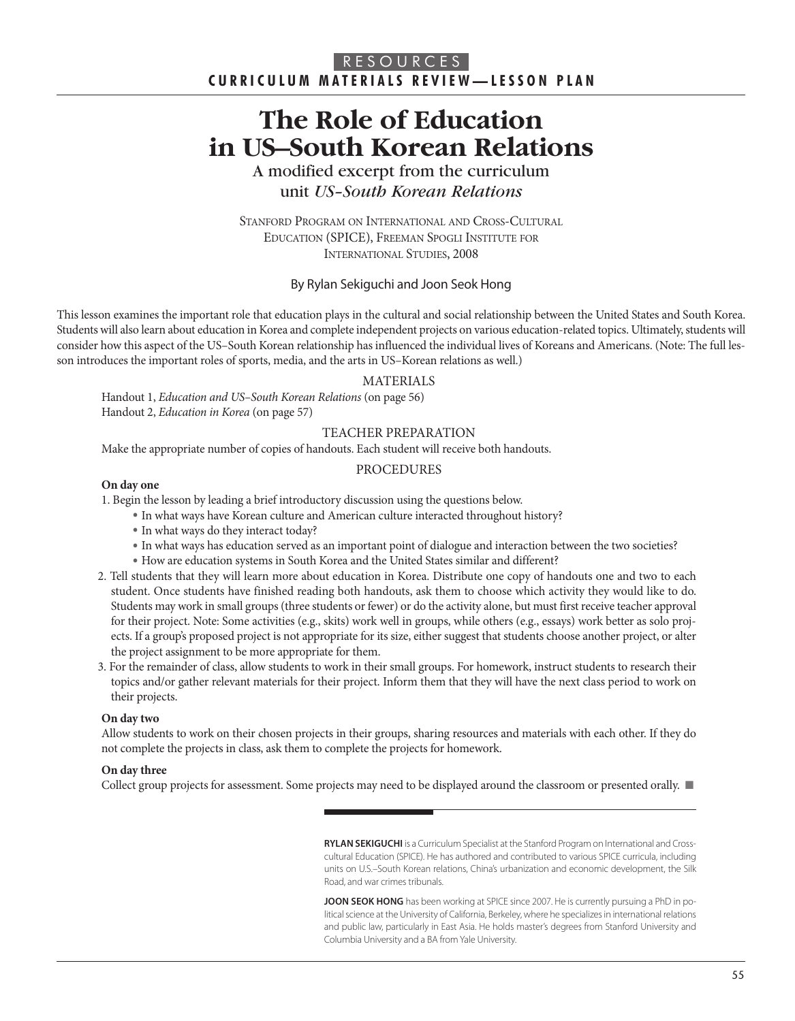# **The Role of Education in US–South Korean Relations**

A modified excerpt from the curriculum unit *US–South Korean Relations*

STANFORd PROGRAM ON INTERNATIONAL ANd CROSS-CULTURAL EdUCATION (SPICE), FREEMAN SPOGLI INSTITUTE FOR INTERNATIONAL STUdIES, 2008

#### By Rylan Sekiguchi and Joon Seok Hong

This lesson examines the important role that education plays in the cultural and social relationship between the United States and South Korea. Students will also learn about education in Korea and complete independent projects on various education-related topics. Ultimately, students will consider how this aspect of the US–South Korean relationship has influenced the individual lives of Koreans and Americans. (Note: The full lesson introduces the important roles of sports, media, and the arts in US–Korean relations as well.)

#### MATERIALS

Handout 1, Education and US–South Korean Relations (on page 56) Handout 2, Education in Korea (on page 57)

#### TEACHER PREPARATION

Make the appropriate number of copies of handouts. Each student will receive both handouts.

#### **PROCEDURES**

#### **On day one**

1. Begin the lesson by leading a brief introductory discussion using the questions below.

- · In what ways have Korean culture and American culture interacted throughout history?
- · In what ways do they interact today?
- · In what ways has education served as an important point of dialogue and interaction between the two societies?
- · How are education systems in South Korea and the United States similar and different?
- 2. Tell students that they will learn more about education in Korea. Distribute one copy of handouts one and two to each student. Once students have finished reading both handouts, ask them to choose which activity they would like to do. Students may work in small groups (three students or fewer) or do the activity alone, but must first receive teacher approval for their project. Note: Some activities (e.g., skits) work well in groups, while others (e.g., essays) work better as solo projects. If a group's proposed project is not appropriate for its size, either suggest that students choose another project, or alter the project assignment to be more appropriate for them.
- 3. For the remainder of class, allow students to work in their small groups. For homework, instruct students to research their topics and/or gather relevant materials for their project. Inform them that they will have the next class period to work on their projects.

#### **On day two**

Allow students to work on their chosen projects in their groups, sharing resources and materials with each other. If they do not complete the projects in class, ask them to complete the projects for homework.

#### **On day three**

Collect group projects for assessment. Some projects may need to be displayed around the classroom or presented orally. ■

**RYLAN SEKIGUCHI** is a Curriculum Specialist at the Stanford Program on International and Crosscultural Education (SPICE). He has authored and contributed to various SPICE curricula, including units on U.S.–South Korean relations, China's urbanization and economic development, the Silk Road, and war crimes tribunals.

**JOON SEOK HONG** has been working at SPICE since 2007. He is currently pursuing a PhD in political science at the University of California, Berkeley, where he specializes in international relations and public law, particularly in East Asia. He holds master's degrees from Stanford University and Columbia University and a BA from Yale University.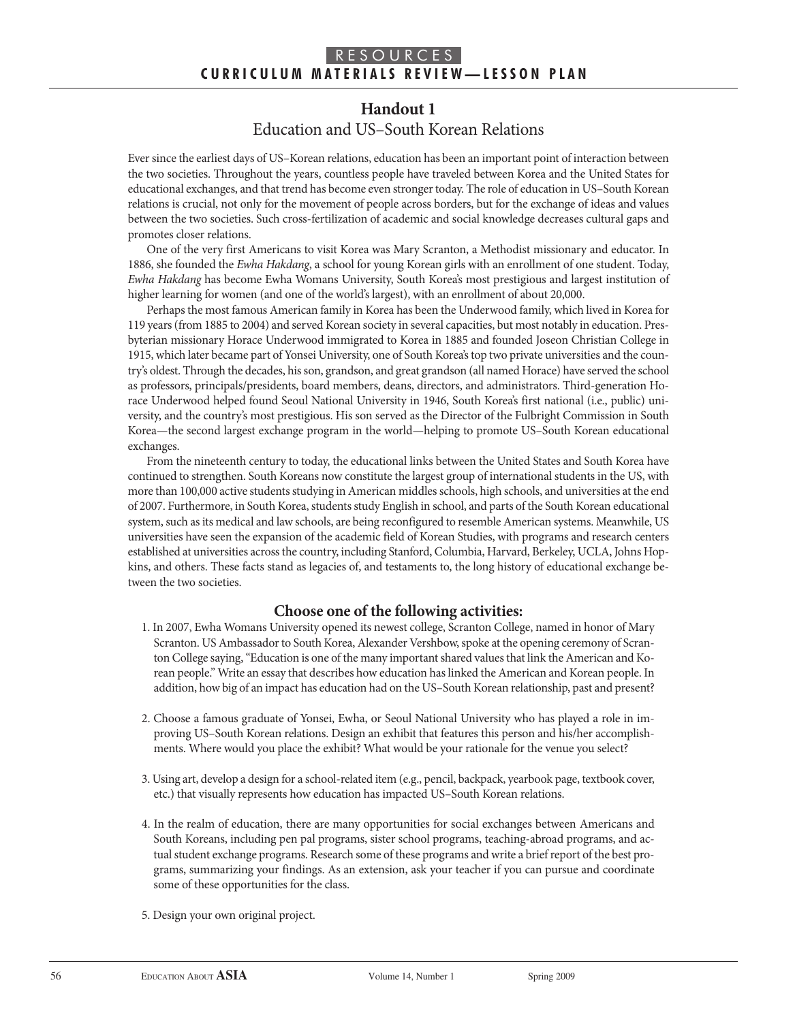# **Handout 1** Education and US–South Korean Relations

Ever since the earliest days of US–Korean relations, education has been an important point of interaction between the two societies. Throughout the years, countless people have traveled between Korea and the United States for educational exchanges, and that trend has become even stronger today. The role of education in US–South Korean relations is crucial, not only for the movement of people across borders, but for the exchange of ideas and values between the two societies. Such cross-fertilization of academic and social knowledge decreases cultural gaps and promotes closer relations.

One of the very first Americans to visit Korea was Mary Scranton, a Methodist missionary and educator. In 1886, she founded the Ewha Hakdang, a school for young Korean girls with an enrollment of one student. Today, Ewha Hakdang has become Ewha Womans University, South Korea's most prestigious and largest institution of higher learning for women (and one of the world's largest), with an enrollment of about 20,000.

Perhaps the most famous American family in Korea has been the Underwood family, which lived in Korea for 119 years (from 1885 to 2004) and served Korean society in several capacities, but most notably in education. Presbyterian missionary Horace Underwood immigrated to Korea in 1885 and founded Joseon Christian College in 1915, which later became part of Yonsei University, one of South Korea's top two private universities and the country's oldest. Through the decades, his son, grandson, and great grandson (all named Horace) have served the school as professors, principals/presidents, board members, deans, directors, and administrators. Third-generation Horace Underwood helped found Seoul National University in 1946, South Korea's first national (i.e., public) university, and the country's most prestigious. His son served as the Director of the Fulbright Commission in South Korea—the second largest exchange program in the world—helping to promote US–South Korean educational exchanges.

From the nineteenth century to today, the educational links between the United States and South Korea have continued to strengthen. South Koreans now constitute the largest group of international students in the US, with more than 100,000 active students studying in American middles schools, high schools, and universities at the end of 2007. Furthermore, in South Korea, students study English in school, and parts of the South Korean educational system, such as its medical and law schools, are being reconfigured to resemble American systems. Meanwhile, US universities have seen the expansion of the academic field of Korean Studies, with programs and research centers established at universities across the country, including Stanford, Columbia, Harvard, Berkeley, UCLA, Johns Hopkins, and others. These facts stand as legacies of, and testaments to, the long history of educational exchange between the two societies.

## **Choose one of the following activities:**

- 1. In 2007, Ewha Womans University opened its newest college, Scranton College, named in honor of Mary Scranton. US Ambassador to South Korea, Alexander Vershbow, spoke at the opening ceremony of Scranton College saying, "Education is one of the many important shared values that link the American and Korean people." Write an essay that describes how education has linked the American and Korean people. In addition, how big of an impact has education had on the US–South Korean relationship, past and present?
- 2. Choose a famous graduate of Yonsei, Ewha, or Seoul National University who has played a role in improving US-South Korean relations. Design an exhibit that features this person and his/her accomplishments. Where would you place the exhibit? What would be your rationale for the venue you select?
- 3. Using art, develop a design for a school-related item (e.g., pencil, backpack, yearbook page, textbook cover, etc.) that visually represents how education has impacted US–South Korean relations.
- 4. In the realm of education, there are many opportunities for social exchanges between Americans and South Koreans, including pen pal programs, sister school programs, teaching-abroad programs, and actual student exchange programs. Research some of these programs and write a brief report of the best programs, summarizing your findings. As an extension, ask your teacher if you can pursue and coordinate some of these opportunities for the class.
- 5. Design your own original project.